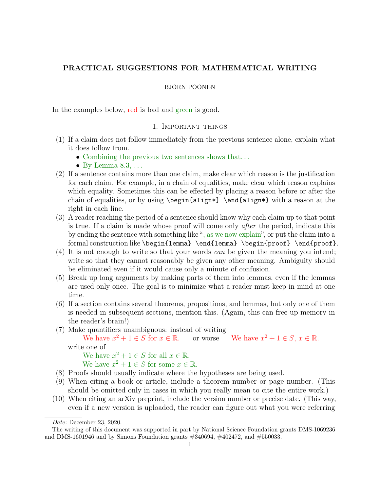# PRACTICAL SUGGESTIONS FOR MATHEMATICAL WRITING

#### BJORN POONEN

In the examples below, red is bad and green is good.

### 1. Important things

- (1) If a claim does not follow immediately from the previous sentence alone, explain what it does follow from.
	- Combining the previous two sentences shows that...
	- By Lemma  $8.3, \ldots$
- (2) If a sentence contains more than one claim, make clear which reason is the justification for each claim. For example, in a chain of equalities, make clear which reason explains which equality. Sometimes this can be effected by placing a reason before or after the chain of equalities, or by using \begin{align\*} \end{align\*} with a reason at the right in each line.
- (3) A reader reaching the period of a sentence should know why each claim up to that point is true. If a claim is made whose proof will come only after the period, indicate this by ending the sentence with something like ", as we now explain", or put the claim into a formal construction like \begin{lemma} \end{lemma} \begin{proof} \end{proof}.
- (4) It is not enough to write so that your words can be given the meaning you intend; write so that they cannot reasonably be given any other meaning. Ambiguity should be eliminated even if it would cause only a minute of confusion.
- (5) Break up long arguments by making parts of them into lemmas, even if the lemmas are used only once. The goal is to minimize what a reader must keep in mind at one time.
- (6) If a section contains several theorems, propositions, and lemmas, but only one of them is needed in subsequent sections, mention this. (Again, this can free up memory in the reader's brain!)
- (7) Make quantifiers unambiguous: instead of writing

We have  $x^2 + 1 \in S$  for  $x \in \mathbb{R}$ . or worse We have  $x^2 + 1 \in S$ ,  $x \in \mathbb{R}$ . write one of

We have  $x^2 + 1 \in S$  for all  $x \in \mathbb{R}$ .

```
We have x^2 + 1 \in S for some x \in \mathbb{R}.
```
- (8) Proofs should usually indicate where the hypotheses are being used.
- (9) When citing a book or article, include a theorem number or page number. (This should be omitted only in cases in which you really mean to cite the entire work.)
- (10) When citing an arXiv preprint, include the version number or precise date. (This way, even if a new version is uploaded, the reader can figure out what you were referring

Date: December 23, 2020.

The writing of this document was supported in part by National Science Foundation grants DMS-1069236 and DMS-1601946 and by Simons Foundation grants #340694, #402472, and #550033.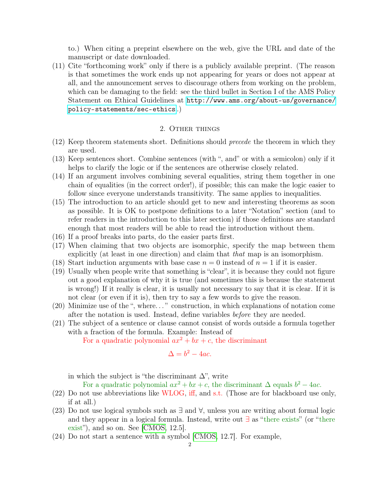to.) When citing a preprint elsewhere on the web, give the URL and date of the manuscript or date downloaded.

(11) Cite "forthcoming work" only if there is a publicly available preprint. (The reason is that sometimes the work ends up not appearing for years or does not appear at all, and the announcement serves to discourage others from working on the problem, which can be damaging to the field: see the third bullet in Section I of the AMS Policy Statement on Ethical Guidelines at [http://www.ams.org/about-us/governance/](http://www.ams.org/about-us/governance/policy-statements/sec-ethics) [policy-statements/sec-ethics](http://www.ams.org/about-us/governance/policy-statements/sec-ethics) .)

### 2. Other things

- (12) Keep theorem statements short. Definitions should precede the theorem in which they are used.
- (13) Keep sentences short. Combine sentences (with ", and" or with a semicolon) only if it helps to clarify the logic or if the sentences are otherwise closely related.
- (14) If an argument involves combining several equalities, string them together in one chain of equalities (in the correct order!), if possible; this can make the logic easier to follow since everyone understands transitivity. The same applies to inequalities.
- (15) The introduction to an article should get to new and interesting theorems as soon as possible. It is OK to postpone definitions to a later "Notation" section (and to refer readers in the introduction to this later section) if those definitions are standard enough that most readers will be able to read the introduction without them.
- (16) If a proof breaks into parts, do the easier parts first.
- (17) When claiming that two objects are isomorphic, specify the map between them explicitly (at least in one direction) and claim that that map is an isomorphism.
- (18) Start induction arguments with base case  $n = 0$  instead of  $n = 1$  if it is easier.
- (19) Usually when people write that something is "clear", it is because they could not figure out a good explanation of why it is true (and sometimes this is because the statement is wrong!) If it really is clear, it is usually not necessary to say that it is clear. If it is not clear (or even if it is), then try to say a few words to give the reason.
- (20) Minimize use of the ", where. . . " construction, in which explanations of notation come after the notation is used. Instead, define variables before they are needed.
- (21) The subject of a sentence or clause cannot consist of words outside a formula together with a fraction of the formula. Example: Instead of

For a quadratic polynomial  $ax^2 + bx + c$ , the discriminant

$$
\Delta = b^2 - 4ac.
$$

in which the subject is "the discriminant  $\Delta$ ", write

For a quadratic polynomial  $ax^2 + bx + c$ , the discriminant  $\Delta$  equals  $b^2 - 4ac$ .

- (22) Do not use abbreviations like WLOG, iff, and s.t. (Those are for blackboard use only, if at all.)
- (23) Do not use logical symbols such as ∃ and ∀, unless you are writing about formal logic and they appear in a logical formula. Instead, write out ∃ as "there exists" (or "there exist"), and so on. See [\[CMOS,](#page-4-0) 12.5].
- (24) Do not start a sentence with a symbol [\[CMOS,](#page-4-0) 12.7]. For example,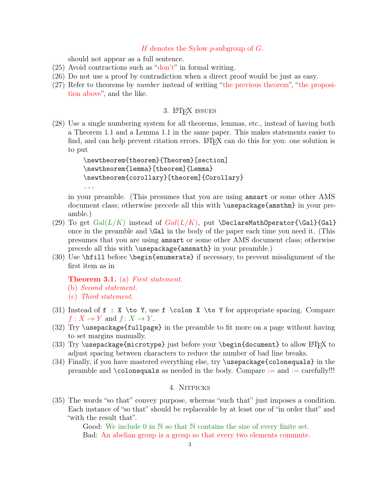### H denotes the Sylow p-subgroup of G.

should not appear as a full sentence.

- $(25)$  Avoid contractions such as "don't" in formal writing.
- (26) Do not use a proof by contradiction when a direct proof would be just as easy.
- (27) Refer to theorems by number instead of writing "the previous theorem", "the proposition above", and the like.

# 3. LAT<sub>F</sub>X issues

(28) Use a single numbering system for all theorems, lemmas, etc., instead of having both a Theorem 1.1 and a Lemma 1.1 in the same paper. This makes statements easier to find, and can help prevent citation errors. LAT<sub>EX</sub> can do this for you: one solution is to put

```
\newtheorem{theorem}{Theorem}[section]
\newtheorem{lemma}[theorem]{Lemma}
\newtheorem{corollary}[theorem]{Corollary}
...
```
in your preamble. (This presumes that you are using amsart or some other AMS document class; otherwise precede all this with \usepackage{amsthm} in your preamble.)

- (29) To get  $Gal(L/K)$  instead of  $Gal(L/K)$ , put  $\DeclarethDperator{\Gal}{Gal}$ once in the preamble and \Gal in the body of the paper each time you need it. (This presumes that you are using amsart or some other AMS document class; otherwise precede all this with \usepackage{amsmath} in your preamble.)
- (30) Use \hfill before \begin{enumerate} if necessary, to prevent misalignment of the first item as in

**Theorem 3.1.** (a) First statement.

(b) Second statement.

- (c) Third statement.
- (31) Instead of f : X \to Y, use f \colon X \to Y for appropriate spacing. Compare  $f: X \to Y$  and  $f: X \to Y$ .
- (32) Try \usepackage{fullpage} in the preamble to fit more on a page without having to set margins manually.
- (33) Try \usepackage{microtype} just before your \begin{document} to allow LATEX to adjust spacing between characters to reduce the number of bad line breaks.
- (34) Finally, if you have mastered everything else, try \usepackage{colonequals} in the preamble and  $\colon$  colonequals as needed in the body. Compare  $:=$  and  $:=$  carefully!!!

### 4. Nitpicks

(35) The words "so that" convey purpose, whereas "such that" just imposes a condition. Each instance of "so that" should be replaceable by at least one of "in order that" and "with the result that".

> Good: We include 0 in N so that N contains the size of every finite set. Bad: An abelian group is a group so that every two elements commute.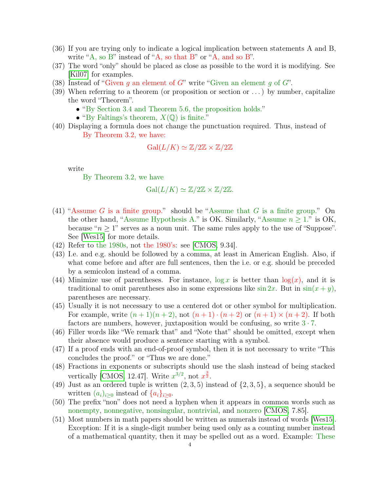- (36) If you are trying only to indicate a logical implication between statements A and B, write "A, so B" instead of "A, so that B" or "A, and so B".
- (37) The word "only" should be placed as close as possible to the word it is modifying. See [\[Kil07\]](#page-4-1) for examples.
- (38) Instead of "Given q an element of G" write "Given an element q of G".
- (39) When referring to a theorem (or proposition or section or  $\dots$ ) by number, capitalize the word "Theorem".
	- "By Section 3.4 and Theorem 5.6, the proposition holds."
	- "By Faltings's theorem,  $X(\mathbb{Q})$  is finite."
- (40) Displaying a formula does not change the punctuation required. Thus, instead of By Theorem 3.2, we have:

$$
\operatorname{Gal}(L/K) \simeq \mathbb{Z}/2\mathbb{Z} \times \mathbb{Z}/2\mathbb{Z}
$$

write

By Theorem 3.2, we have

$$
\operatorname{Gal}(L/K) \simeq \mathbb{Z}/2\mathbb{Z} \times \mathbb{Z}/2\mathbb{Z}.
$$

- (41) "Assume G is a finite group." should be "Assume that G is a finite group." On the other hand, "Assume Hypothesis A." is OK. Similarly, "Assume  $n \geq 1$ ." is OK, because " $n \geq 1$ " serves as a noun unit. The same rules apply to the use of "Suppose". See [\[Wes15\]](#page-4-2) for more details.
- (42) Refer to the 1980s, not the 1980's: see [\[CMOS,](#page-4-0) 9.34].
- (43) I.e. and e.g. should be followed by a comma, at least in American English. Also, if what come before and after are full sentences, then the i.e. or e.g. should be preceded by a semicolon instead of a comma.
- (44) Minimize use of parentheses. For instance,  $\log x$  is better than  $\log(x)$ , and it is traditional to omit parentheses also in some expressions like  $\sin 2x$ . But in  $\sin(x + y)$ , parentheses are necessary.
- (45) Usually it is not necessary to use a centered dot or other symbol for multiplication. For example, write  $(n+1)(n+2)$ , not  $(n+1) \cdot (n+2)$  or  $(n+1) \times (n+2)$ . If both factors are numbers, however, juxtaposition would be confusing, so write  $3 \cdot 7$ .
- (46) Filler words like "We remark that" and "Note that" should be omitted, except when their absence would produce a sentence starting with a symbol.
- (47) If a proof ends with an end-of-proof symbol, then it is not necessary to write "This concludes the proof." or "Thus we are done."
- (48) Fractions in exponents or subscripts should use the slash instead of being stacked vertically [\[CMOS,](#page-4-0) 12.47]. Write  $x^{3/2}$ , not  $x^{\frac{3}{2}}$ .
- (49) Just as an ordered tuple is written  $(2,3,5)$  instead of  $\{2,3,5\}$ , a sequence should be written  $(a_i)_{i\geq 0}$  instead of  $\{a_i\}_{i\geq 0}$ .
- (50) The prefix "non" does not need a hyphen when it appears in common words such as nonempty, nonnegative, nonsingular, nontrivial, and nonzero [\[CMOS,](#page-4-0) 7.85].
- (51) Most numbers in math papers should be written as numerals instead of words [\[Wes15\]](#page-4-2). Exception: If it is a single-digit number being used only as a counting number instead of a mathematical quantity, then it may be spelled out as a word. Example: These